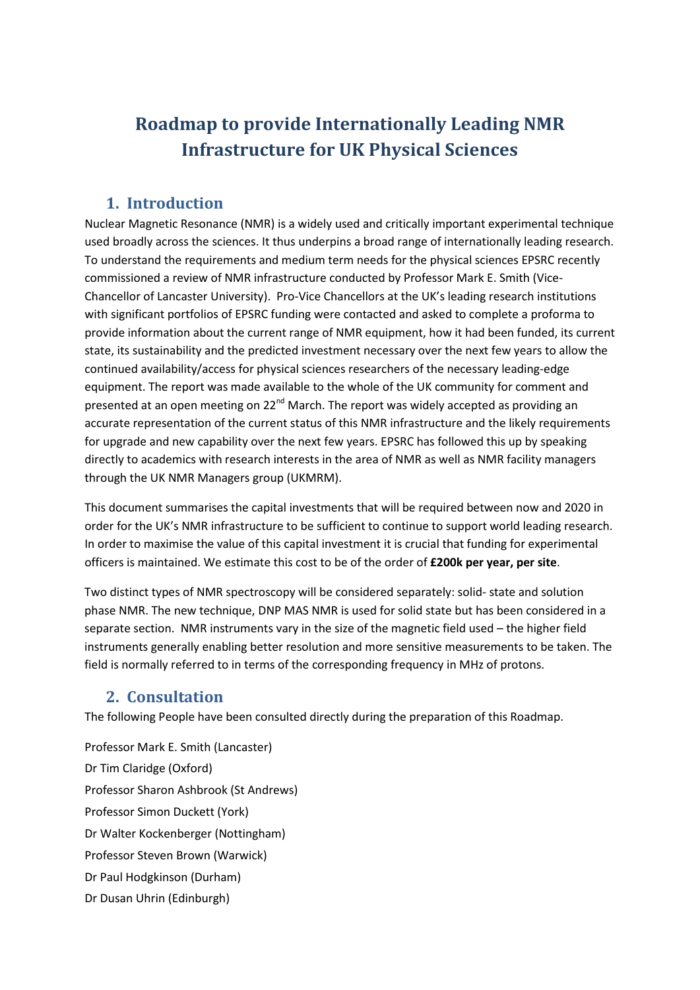# **Roadmap to provide Internationally Leading NMR Infrastructure for UK Physical Sciences**

### **1. Introduction**

Nuclear Magnetic Resonance (NMR) is a widely used and critically important experimental technique used broadly across the sciences. It thus underpins a broad range of internationally leading research. To understand the requirements and medium term needs for the physical sciences EPSRC recently commissioned a review of NMR infrastructure conducted by Professor Mark E. Smith (Vice-Chancellor of Lancaster University). Pro-Vice Chancellors at the UK's leading research institutions with significant portfolios of EPSRC funding were contacted and asked to complete a proforma to provide information about the current range of NMR equipment, how it had been funded, its current state, its sustainability and the predicted investment necessary over the next few years to allow the continued availability/access for physical sciences researchers of the necessary leading-edge equipment. The report was made available to the whole of the UK community for comment and presented at an open meeting on 22<sup>nd</sup> March. The report was widely accepted as providing an accurate representation of the current status of this NMR infrastructure and the likely requirements for upgrade and new capability over the next few years. EPSRC has followed this up by speaking directly to academics with research interests in the area of NMR as well as NMR facility managers through the UK NMR Managers group (UKMRM).

This document summarises the capital investments that will be required between now and 2020 in order for the UK's NMR infrastructure to be sufficient to continue to support world leading research. In order to maximise the value of this capital investment it is crucial that funding for experimental officers is maintained. We estimate this cost to be of the order of **£200k per year, per site**.

Two distinct types of NMR spectroscopy will be considered separately: solid- state and solution phase NMR. The new technique, DNP MAS NMR is used for solid state but has been considered in a separate section. NMR instruments vary in the size of the magnetic field used – the higher field instruments generally enabling better resolution and more sensitive measurements to be taken. The field is normally referred to in terms of the corresponding frequency in MHz of protons.

### **2. Consultation**

The following People have been consulted directly during the preparation of this Roadmap.

Professor Mark E. Smith (Lancaster) Dr Tim Claridge (Oxford) Professor Sharon Ashbrook (St Andrews) Professor Simon Duckett (York) Dr Walter Kockenberger (Nottingham) Professor Steven Brown (Warwick) Dr Paul Hodgkinson (Durham) Dr Dusan Uhrin (Edinburgh)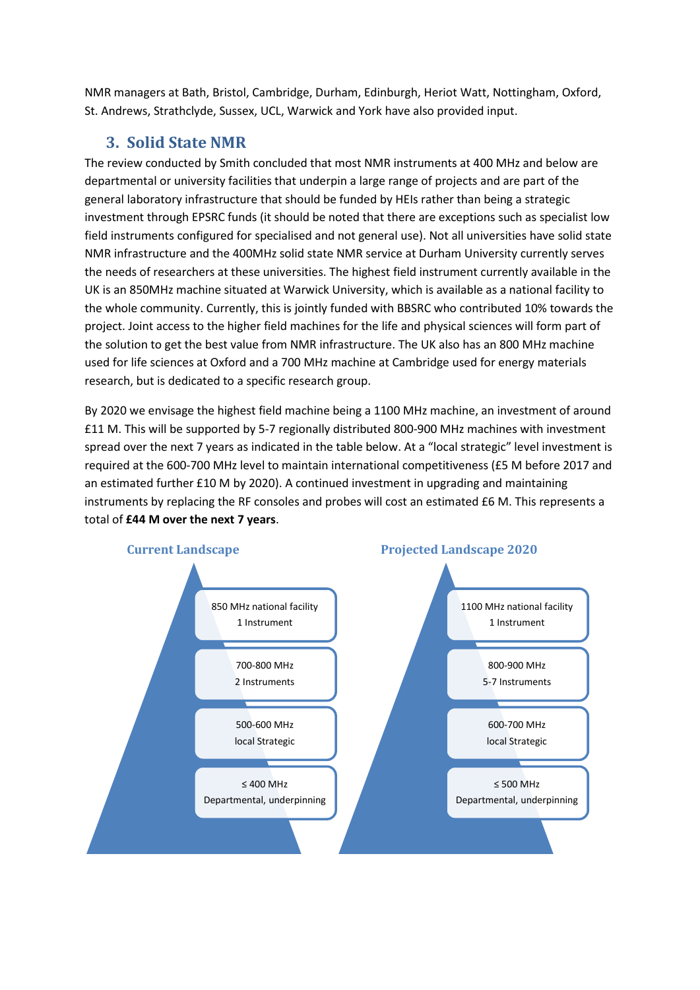NMR managers at Bath, Bristol, Cambridge, Durham, Edinburgh, Heriot Watt, Nottingham, Oxford, St. Andrews, Strathclyde, Sussex, UCL, Warwick and York have also provided input.

# **3. Solid State NMR**

The review conducted by Smith concluded that most NMR instruments at 400 MHz and below are departmental or university facilities that underpin a large range of projects and are part of the general laboratory infrastructure that should be funded by HEIs rather than being a strategic investment through EPSRC funds (it should be noted that there are exceptions such as specialist low field instruments configured for specialised and not general use). Not all universities have solid state NMR infrastructure and the 400MHz solid state NMR service at Durham University currently serves the needs of researchers at these universities. The highest field instrument currently available in the UK is an 850MHz machine situated at Warwick University, which is available as a national facility to the whole community. Currently, this is jointly funded with BBSRC who contributed 10% towards the project. Joint access to the higher field machines for the life and physical sciences will form part of the solution to get the best value from NMR infrastructure. The UK also has an 800 MHz machine used for life sciences at Oxford and a 700 MHz machine at Cambridge used for energy materials research, but is dedicated to a specific research group.

By 2020 we envisage the highest field machine being a 1100 MHz machine, an investment of around £11 M. This will be supported by 5-7 regionally distributed 800-900 MHz machines with investment spread over the next 7 years as indicated in the table below. At a "local strategic" level investment is required at the 600-700 MHz level to maintain international competitiveness (£5 M before 2017 and an estimated further £10 M by 2020). A continued investment in upgrading and maintaining instruments by replacing the RF consoles and probes will cost an estimated £6 M. This represents a total of **£44 M over the next 7 years**.

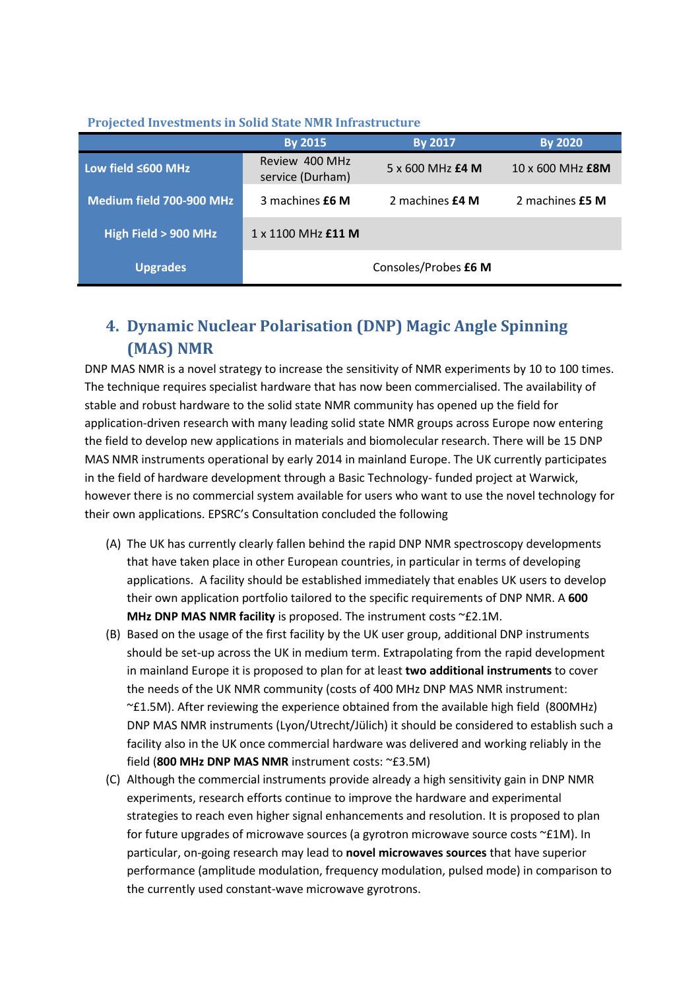#### **Projected Investments in Solid State NMR Infrastructure**

|                          | <b>By 2015</b>                     | By 2017                 | <b>By 2020</b>   |
|--------------------------|------------------------------------|-------------------------|------------------|
| Low field ≤600 MHz       | Review 400 MHz<br>service (Durham) | $5 \times 600$ MHz £4 M | 10 x 600 MHz £8M |
| Medium field 700-900 MHz | 3 machines £6 M                    | 2 machines £4 M         | 2 machines £5 M  |
| High Field > 900 MHz     | $1 \times 1100$ MHz $£11$ M        |                         |                  |
| <b>Upgrades</b>          |                                    | Consoles/Probes £6 M    |                  |

# **4. Dynamic Nuclear Polarisation (DNP) Magic Angle Spinning (MAS) NMR**

DNP MAS NMR is a novel strategy to increase the sensitivity of NMR experiments by 10 to 100 times. The technique requires specialist hardware that has now been commercialised. The availability of stable and robust hardware to the solid state NMR community has opened up the field for application-driven research with many leading solid state NMR groups across Europe now entering the field to develop new applications in materials and biomolecular research. There will be 15 DNP MAS NMR instruments operational by early 2014 in mainland Europe. The UK currently participates in the field of hardware development through a Basic Technology- funded project at Warwick, however there is no commercial system available for users who want to use the novel technology for their own applications. EPSRC's Consultation concluded the following

- (A) The UK has currently clearly fallen behind the rapid DNP NMR spectroscopy developments that have taken place in other European countries, in particular in terms of developing applications. A facility should be established immediately that enables UK users to develop their own application portfolio tailored to the specific requirements of DNP NMR. A **600 MHz DNP MAS NMR facility** is proposed. The instrument costs ~£2.1M.
- (B) Based on the usage of the first facility by the UK user group, additional DNP instruments should be set-up across the UK in medium term. Extrapolating from the rapid development in mainland Europe it is proposed to plan for at least **two additional instruments** to cover the needs of the UK NMR community (costs of 400 MHz DNP MAS NMR instrument: ~£1.5M). After reviewing the experience obtained from the available high field (800MHz) DNP MAS NMR instruments (Lyon/Utrecht/Jülich) it should be considered to establish such a facility also in the UK once commercial hardware was delivered and working reliably in the field (**800 MHz DNP MAS NMR** instrument costs: ~£3.5M)
- (C) Although the commercial instruments provide already a high sensitivity gain in DNP NMR experiments, research efforts continue to improve the hardware and experimental strategies to reach even higher signal enhancements and resolution. It is proposed to plan for future upgrades of microwave sources (a gyrotron microwave source costs  $\varepsilon$ £1M). In particular, on-going research may lead to **novel microwaves sources** that have superior performance (amplitude modulation, frequency modulation, pulsed mode) in comparison to the currently used constant-wave microwave gyrotrons.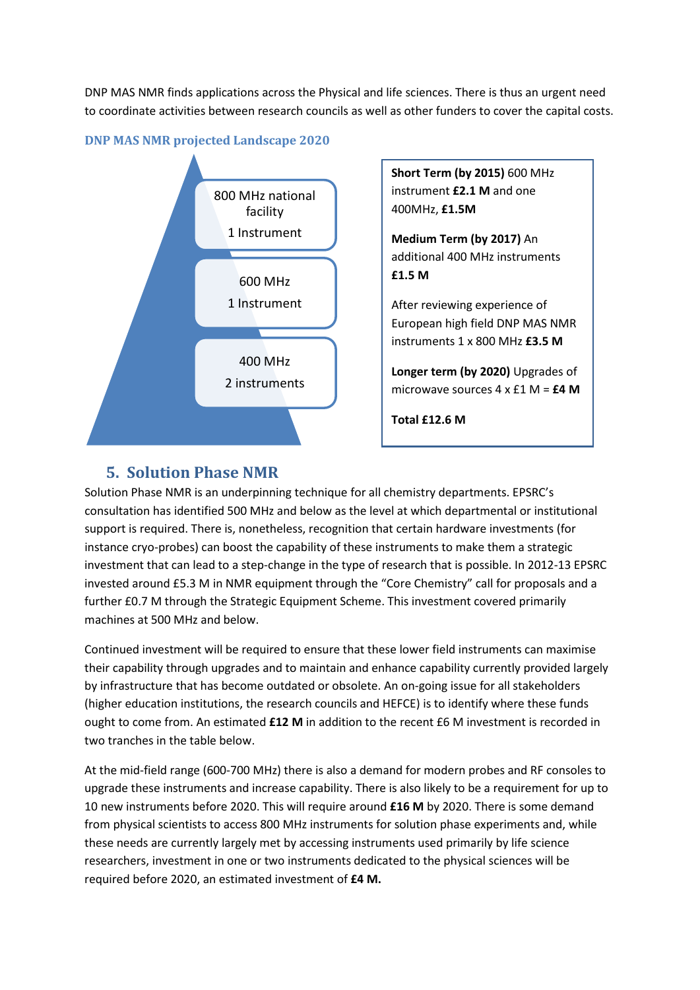DNP MAS NMR finds applications across the Physical and life sciences. There is thus an urgent need to coordinate activities between research councils as well as other funders to cover the capital costs.





**Short Term (by 2015)** 600 MHz instrument **£2.1 M** and one 400MHz, **£1.5M**

**Medium Term (by 2017)** An additional 400 MHz instruments **£1.5 M** 

After reviewing experience of European high field DNP MAS NMR instruments 1 x 800 MHz **£3.5 M**

**Longer term (by 2020)** Upgrades of microwave sources 4 x £1 M = **£4 M**

**Total £12.6 M**

## **5. Solution Phase NMR**

Solution Phase NMR is an underpinning technique for all chemistry departments. EPSRC's consultation has identified 500 MHz and below as the level at which departmental or institutional support is required. There is, nonetheless, recognition that certain hardware investments (for instance cryo-probes) can boost the capability of these instruments to make them a strategic investment that can lead to a step-change in the type of research that is possible. In 2012-13 EPSRC invested around £5.3 M in NMR equipment through the "Core Chemistry" call for proposals and a further £0.7 M through the Strategic Equipment Scheme. This investment covered primarily machines at 500 MHz and below.

Continued investment will be required to ensure that these lower field instruments can maximise their capability through upgrades and to maintain and enhance capability currently provided largely by infrastructure that has become outdated or obsolete. An on-going issue for all stakeholders (higher education institutions, the research councils and HEFCE) is to identify where these funds ought to come from. An estimated **£12 M** in addition to the recent £6 M investment is recorded in two tranches in the table below.

At the mid-field range (600-700 MHz) there is also a demand for modern probes and RF consoles to upgrade these instruments and increase capability. There is also likely to be a requirement for up to 10 new instruments before 2020. This will require around **£16 M** by 2020. There is some demand from physical scientists to access 800 MHz instruments for solution phase experiments and, while these needs are currently largely met by accessing instruments used primarily by life science researchers, investment in one or two instruments dedicated to the physical sciences will be required before 2020, an estimated investment of **£4 M.**